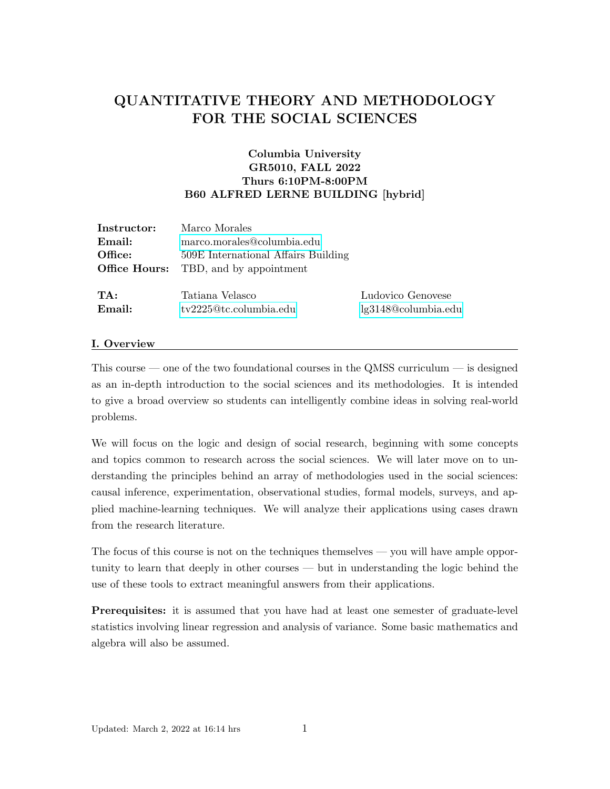# QUANTITATIVE THEORY AND METHODOLOGY FOR THE SOCIAL SCIENCES

# Columbia University GR5010, FALL 2022 Thurs 6:10PM-8:00PM B60 ALFRED LERNE BUILDING [hybrid]

| Instructor: | Marco Morales                                |                     |
|-------------|----------------------------------------------|---------------------|
| Email:      | marco.morales@columbia.edu                   |                     |
| Office:     | 509E International Affairs Building          |                     |
|             | <b>Office Hours:</b> TBD, and by appointment |                     |
|             |                                              |                     |
| TA:         | Tatiana Velasco                              | Ludovico Genovese   |
| Email:      | tv2225@tc.columbia.edu                       | lg3148@columbia.edu |

#### I. Overview

This course — one of the two foundational courses in the QMSS curriculum — is designed as an in-depth introduction to the social sciences and its methodologies. It is intended to give a broad overview so students can intelligently combine ideas in solving real-world problems.

We will focus on the logic and design of social research, beginning with some concepts and topics common to research across the social sciences. We will later move on to understanding the principles behind an array of methodologies used in the social sciences: causal inference, experimentation, observational studies, formal models, surveys, and applied machine-learning techniques. We will analyze their applications using cases drawn from the research literature.

The focus of this course is not on the techniques themselves — you will have ample opportunity to learn that deeply in other courses — but in understanding the logic behind the use of these tools to extract meaningful answers from their applications.

Prerequisites: it is assumed that you have had at least one semester of graduate-level statistics involving linear regression and analysis of variance. Some basic mathematics and algebra will also be assumed.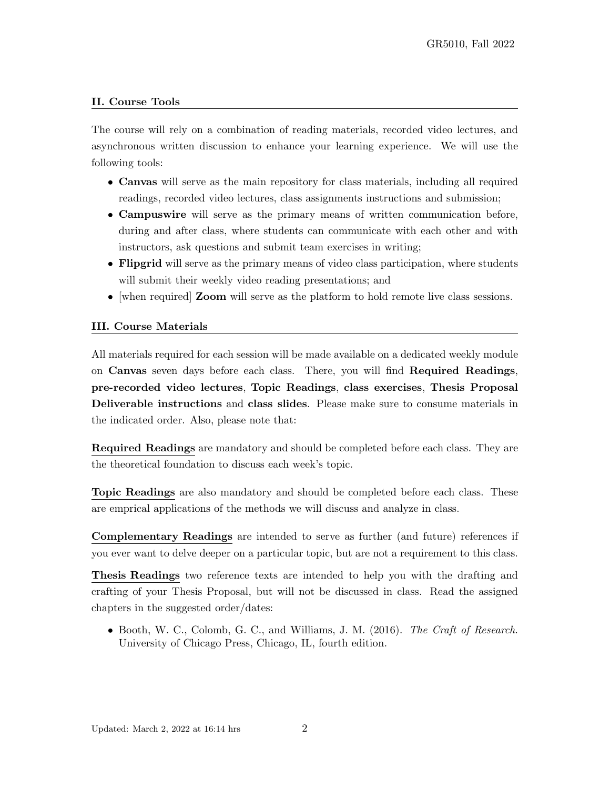### II. Course Tools

The course will rely on a combination of reading materials, recorded video lectures, and asynchronous written discussion to enhance your learning experience. We will use the following tools:

- Canvas will serve as the main repository for class materials, including all required readings, recorded video lectures, class assignments instructions and submission;
- Campuswire will serve as the primary means of written communication before, during and after class, where students can communicate with each other and with instructors, ask questions and submit team exercises in writing;
- Flipgrid will serve as the primary means of video class participation, where students will submit their weekly video reading presentations; and
- [when required] **Zoom** will serve as the platform to hold remote live class sessions.

### III. Course Materials

All materials required for each session will be made available on a dedicated weekly module on Canvas seven days before each class. There, you will find Required Readings, pre-recorded video lectures, Topic Readings, class exercises, Thesis Proposal Deliverable instructions and class slides. Please make sure to consume materials in the indicated order. Also, please note that:

Required Readings are mandatory and should be completed before each class. They are the theoretical foundation to discuss each week's topic.

Topic Readings are also mandatory and should be completed before each class. These are emprical applications of the methods we will discuss and analyze in class.

Complementary Readings are intended to serve as further (and future) references if you ever want to delve deeper on a particular topic, but are not a requirement to this class.

Thesis Readings two reference texts are intended to help you with the drafting and crafting of your Thesis Proposal, but will not be discussed in class. Read the assigned chapters in the suggested order/dates:

• Booth, W. C., Colomb, G. C., and Williams, J. M. (2016). The Craft of Research. University of Chicago Press, Chicago, IL, fourth edition.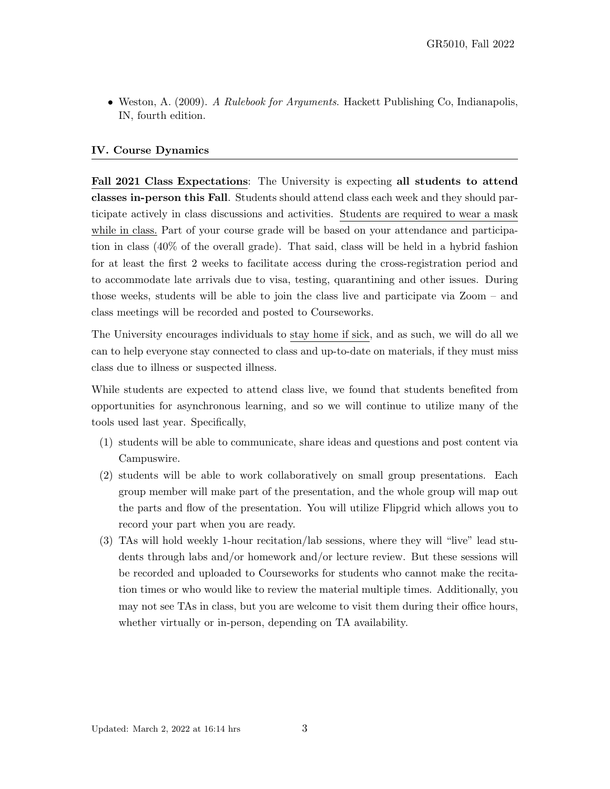• Weston, A. (2009). A Rulebook for Arguments. Hackett Publishing Co, Indianapolis, IN, fourth edition.

#### IV. Course Dynamics

Fall 2021 Class Expectations: The University is expecting all students to attend classes in-person this Fall. Students should attend class each week and they should participate actively in class discussions and activities. Students are required to wear a mask while in class. Part of your course grade will be based on your attendance and participation in class (40% of the overall grade). That said, class will be held in a hybrid fashion for at least the first 2 weeks to facilitate access during the cross-registration period and to accommodate late arrivals due to visa, testing, quarantining and other issues. During those weeks, students will be able to join the class live and participate via Zoom – and class meetings will be recorded and posted to Courseworks.

The University encourages individuals to stay home if sick, and as such, we will do all we can to help everyone stay connected to class and up-to-date on materials, if they must miss class due to illness or suspected illness.

While students are expected to attend class live, we found that students benefited from opportunities for asynchronous learning, and so we will continue to utilize many of the tools used last year. Specifically,

- (1) students will be able to communicate, share ideas and questions and post content via Campuswire.
- (2) students will be able to work collaboratively on small group presentations. Each group member will make part of the presentation, and the whole group will map out the parts and flow of the presentation. You will utilize Flipgrid which allows you to record your part when you are ready.
- (3) TAs will hold weekly 1-hour recitation/lab sessions, where they will "live" lead students through labs and/or homework and/or lecture review. But these sessions will be recorded and uploaded to Courseworks for students who cannot make the recitation times or who would like to review the material multiple times. Additionally, you may not see TAs in class, but you are welcome to visit them during their office hours, whether virtually or in-person, depending on TA availability.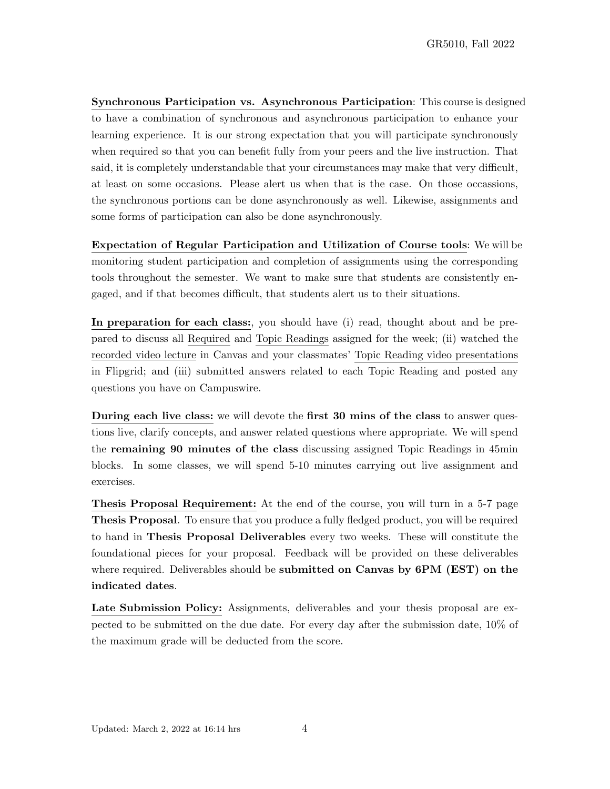Synchronous Participation vs. Asynchronous Participation: This course is designed to have a combination of synchronous and asynchronous participation to enhance your learning experience. It is our strong expectation that you will participate synchronously when required so that you can benefit fully from your peers and the live instruction. That said, it is completely understandable that your circumstances may make that very difficult, at least on some occasions. Please alert us when that is the case. On those occassions, the synchronous portions can be done asynchronously as well. Likewise, assignments and some forms of participation can also be done asynchronously.

Expectation of Regular Participation and Utilization of Course tools: We will be monitoring student participation and completion of assignments using the corresponding tools throughout the semester. We want to make sure that students are consistently engaged, and if that becomes difficult, that students alert us to their situations.

In preparation for each class:, you should have (i) read, thought about and be prepared to discuss all Required and Topic Readings assigned for the week; (ii) watched the recorded video lecture in Canvas and your classmates' Topic Reading video presentations in Flipgrid; and (iii) submitted answers related to each Topic Reading and posted any questions you have on Campuswire.

During each live class: we will devote the first 30 mins of the class to answer questions live, clarify concepts, and answer related questions where appropriate. We will spend the remaining 90 minutes of the class discussing assigned Topic Readings in 45min blocks. In some classes, we will spend 5-10 minutes carrying out live assignment and exercises.

Thesis Proposal Requirement: At the end of the course, you will turn in a 5-7 page Thesis Proposal. To ensure that you produce a fully fledged product, you will be required to hand in Thesis Proposal Deliverables every two weeks. These will constitute the foundational pieces for your proposal. Feedback will be provided on these deliverables where required. Deliverables should be **submitted on Canvas by 6PM (EST)** on the indicated dates.

Late Submission Policy: Assignments, deliverables and your thesis proposal are expected to be submitted on the due date. For every day after the submission date, 10% of the maximum grade will be deducted from the score.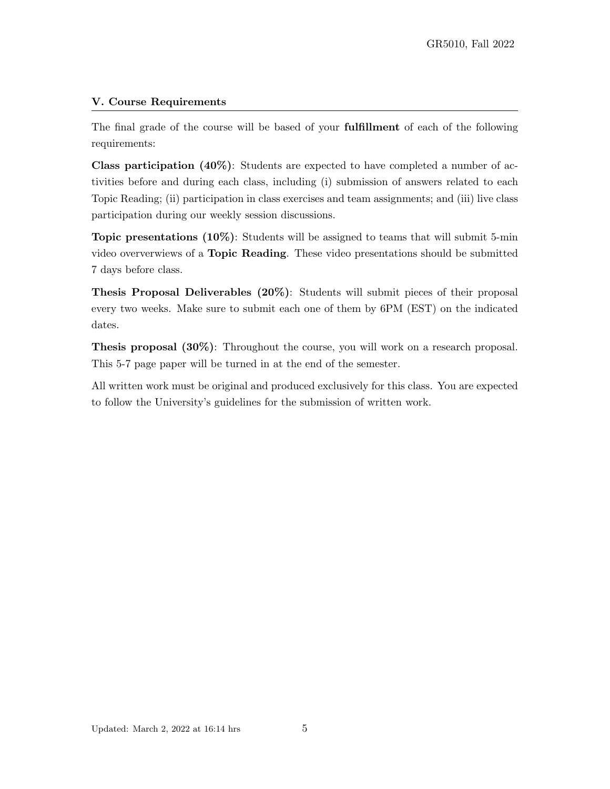## V. Course Requirements

The final grade of the course will be based of your fulfillment of each of the following requirements:

Class participation (40%): Students are expected to have completed a number of activities before and during each class, including (i) submission of answers related to each Topic Reading; (ii) participation in class exercises and team assignments; and (iii) live class participation during our weekly session discussions.

Topic presentations (10%): Students will be assigned to teams that will submit 5-min video oververwiews of a Topic Reading. These video presentations should be submitted 7 days before class.

Thesis Proposal Deliverables (20%): Students will submit pieces of their proposal every two weeks. Make sure to submit each one of them by 6PM (EST) on the indicated dates.

Thesis proposal (30%): Throughout the course, you will work on a research proposal. This 5-7 page paper will be turned in at the end of the semester.

All written work must be original and produced exclusively for this class. You are expected to follow the University's guidelines for the submission of written work.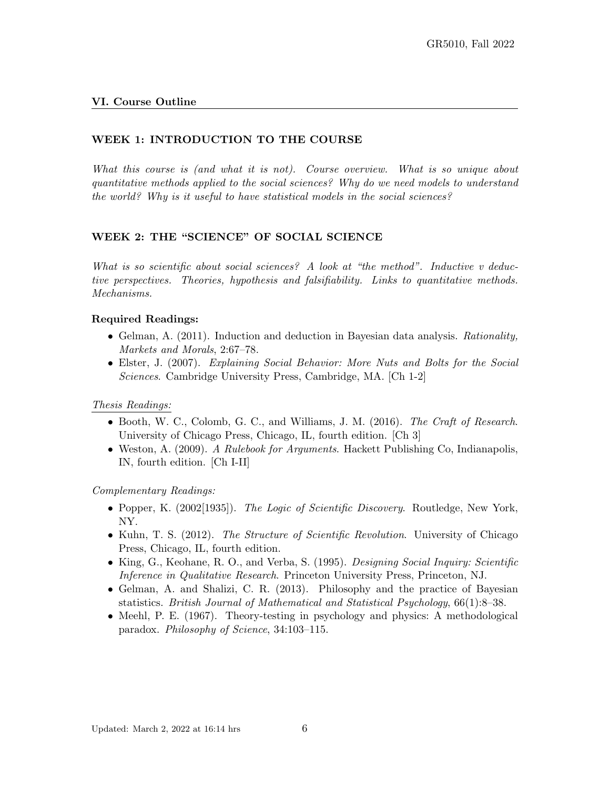#### VI. Course Outline

### WEEK 1: INTRODUCTION TO THE COURSE

What this course is (and what it is not). Course overview. What is so unique about quantitative methods applied to the social sciences? Why do we need models to understand the world? Why is it useful to have statistical models in the social sciences?

#### WEEK 2: THE "SCIENCE" OF SOCIAL SCIENCE

What is so scientific about social sciences? A look at "the method". Inductive  $v$  deductive perspectives. Theories, hypothesis and falsifiability. Links to quantitative methods. Mechanisms.

#### Required Readings:

- Gelman, A. (2011). Induction and deduction in Bayesian data analysis. Rationality, Markets and Morals, 2:67–78.
- Elster, J. (2007). Explaining Social Behavior: More Nuts and Bolts for the Social Sciences. Cambridge University Press, Cambridge, MA. [Ch 1-2]

#### Thesis Readings:

- Booth, W. C., Colomb, G. C., and Williams, J. M. (2016). The Craft of Research. University of Chicago Press, Chicago, IL, fourth edition. [Ch 3]
- Weston, A. (2009). A Rulebook for Arguments. Hackett Publishing Co, Indianapolis, IN, fourth edition. [Ch I-II]

- Popper, K. (2002[1935]). The Logic of Scientific Discovery. Routledge, New York, NY.
- Kuhn, T. S. (2012). The Structure of Scientific Revolution. University of Chicago Press, Chicago, IL, fourth edition.
- King, G., Keohane, R. O., and Verba, S. (1995). *Designing Social Inquiry: Scientific* Inference in Qualitative Research. Princeton University Press, Princeton, NJ.
- Gelman, A. and Shalizi, C. R. (2013). Philosophy and the practice of Bayesian statistics. British Journal of Mathematical and Statistical Psychology, 66(1):8–38.
- Meehl, P. E. (1967). Theory-testing in psychology and physics: A methodological paradox. Philosophy of Science, 34:103–115.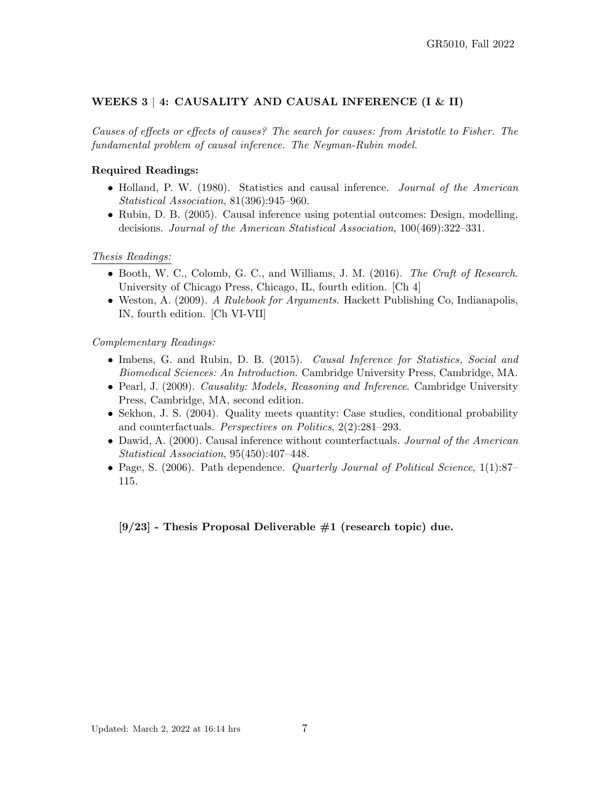# WEEKS 3 | 4: CAUSALITY AND CAUSAL INFERENCE  $(I & II)$

Causes of effects or effects of causes? The search for causes: from Aristotle to Fisher. The fundamental problem of causal inference. The Neyman-Rubin model.

### Required Readings:

- Holland, P. W. (1980). Statistics and causal inference. *Journal of the American* Statistical Association, 81(396):945–960.
- Rubin, D. B. (2005). Causal inference using potential outcomes: Design, modelling, decisions. Journal of the American Statistical Association, 100(469):322–331.

#### Thesis Readings:

- Booth, W. C., Colomb, G. C., and Williams, J. M. (2016). The Craft of Research. University of Chicago Press, Chicago, IL, fourth edition. [Ch 4]
- Weston, A. (2009). A Rulebook for Arguments. Hackett Publishing Co, Indianapolis, IN, fourth edition. [Ch VI-VII]

#### Complementary Readings:

- Imbens, G. and Rubin, D. B. (2015). *Causal Inference for Statistics, Social and* Biomedical Sciences: An Introduction. Cambridge University Press, Cambridge, MA.
- Pearl, J. (2009). *Causality: Models, Reasoning and Inference*. Cambridge University Press, Cambridge, MA, second edition.
- Sekhon, J. S. (2004). Quality meets quantity: Case studies, conditional probability and counterfactuals. Perspectives on Politics, 2(2):281–293.
- Dawid, A. (2000). Causal inference without counterfactuals. Journal of the American Statistical Association, 95(450):407–448.
- Page, S. (2006). Path dependence. *Quarterly Journal of Political Science*, 1(1):87– 115.

 $[9/23]$  - Thesis Proposal Deliverable  $\#1$  (research topic) due.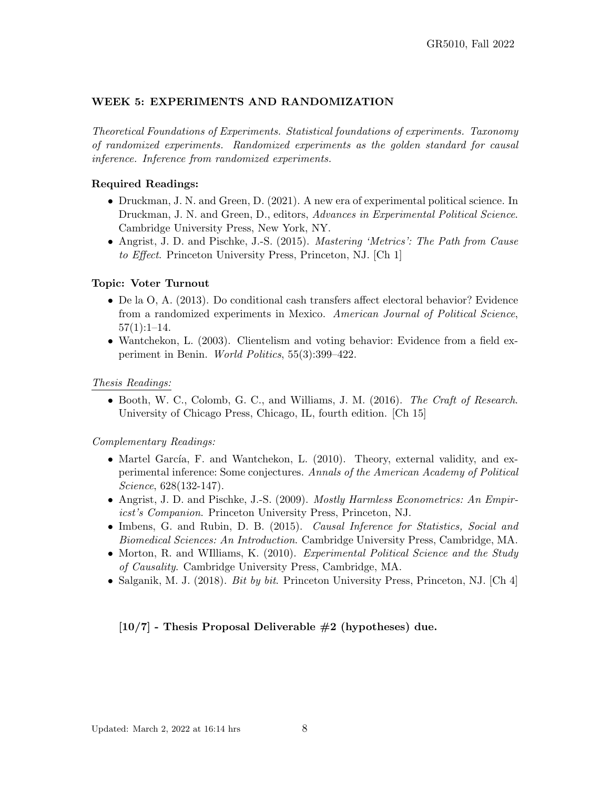## WEEK 5: EXPERIMENTS AND RANDOMIZATION

Theoretical Foundations of Experiments. Statistical foundations of experiments. Taxonomy of randomized experiments. Randomized experiments as the golden standard for causal inference. Inference from randomized experiments.

#### Required Readings:

- Druckman, J. N. and Green, D. (2021). A new era of experimental political science. In Druckman, J. N. and Green, D., editors, Advances in Experimental Political Science. Cambridge University Press, New York, NY.
- Angrist, J. D. and Pischke, J.-S. (2015). Mastering 'Metrics': The Path from Cause to Effect. Princeton University Press, Princeton, NJ. [Ch 1]

#### Topic: Voter Turnout

- De la O, A. (2013). Do conditional cash transfers affect electoral behavior? Evidence from a randomized experiments in Mexico. American Journal of Political Science,  $57(1):1-14.$
- Wantchekon, L. (2003). Clientelism and voting behavior: Evidence from a field experiment in Benin. World Politics, 55(3):399–422.

#### Thesis Readings:

• Booth, W. C., Colomb, G. C., and Williams, J. M. (2016). The Craft of Research. University of Chicago Press, Chicago, IL, fourth edition. [Ch 15]

#### Complementary Readings:

- Martel García, F. and Wantchekon, L.  $(2010)$ . Theory, external validity, and experimental inference: Some conjectures. Annals of the American Academy of Political Science, 628(132-147).
- Angrist, J. D. and Pischke, J.-S. (2009). *Mostly Harmless Econometrics: An Empir*icst's Companion. Princeton University Press, Princeton, NJ.
- Imbens, G. and Rubin, D. B. (2015). Causal Inference for Statistics, Social and Biomedical Sciences: An Introduction. Cambridge University Press, Cambridge, MA.
- Morton, R. and WIlliams, K. (2010). Experimental Political Science and the Study of Causality. Cambridge University Press, Cambridge, MA.
- Salganik, M. J. (2018). *Bit by bit.* Princeton University Press, Princeton, NJ.  $[Ch 4]$

#### $[10/7]$  - Thesis Proposal Deliverable  $\#2$  (hypotheses) due.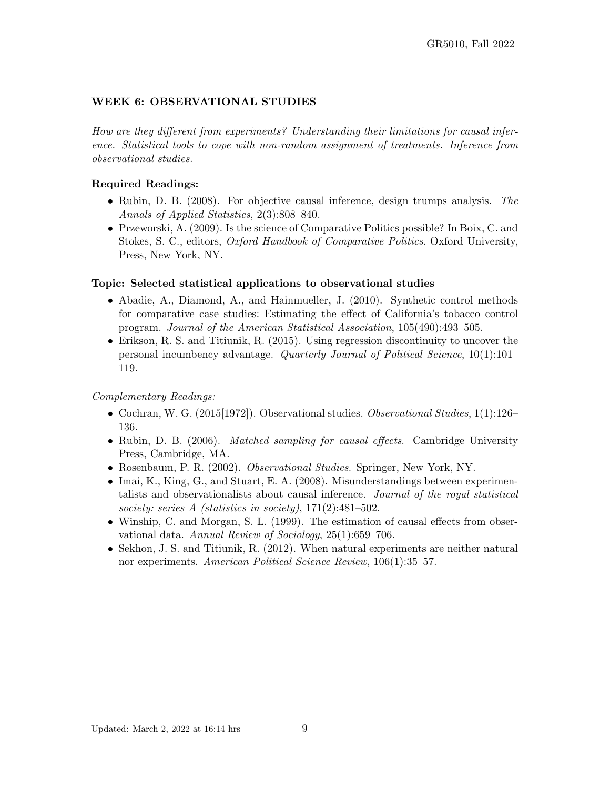## WEEK 6: OBSERVATIONAL STUDIES

How are they different from experiments? Understanding their limitations for causal inference. Statistical tools to cope with non-random assignment of treatments. Inference from observational studies.

#### Required Readings:

- Rubin, D. B. (2008). For objective causal inference, design trumps analysis. The Annals of Applied Statistics, 2(3):808–840.
- Przeworski, A. (2009). Is the science of Comparative Politics possible? In Boix, C. and Stokes, S. C., editors, Oxford Handbook of Comparative Politics. Oxford University, Press, New York, NY.

#### Topic: Selected statistical applications to observational studies

- Abadie, A., Diamond, A., and Hainmueller, J. (2010). Synthetic control methods for comparative case studies: Estimating the effect of California's tobacco control program. Journal of the American Statistical Association, 105(490):493–505.
- Erikson, R. S. and Titiunik, R. (2015). Using regression discontinuity to uncover the personal incumbency advantage. Quarterly Journal of Political Science, 10(1):101– 119.

- Cochran, W. G. (2015[1972]). Observational studies. *Observational Studies*, 1(1):126– 136.
- Rubin, D. B. (2006). *Matched sampling for causal effects*. Cambridge University Press, Cambridge, MA.
- Rosenbaum, P. R. (2002). Observational Studies. Springer, New York, NY.
- Imai, K., King, G., and Stuart, E. A. (2008). Misunderstandings between experimentalists and observationalists about causal inference. Journal of the royal statistical society: series A (statistics in society), 171(2):481-502.
- Winship, C. and Morgan, S. L. (1999). The estimation of causal effects from observational data. Annual Review of Sociology, 25(1):659–706.
- Sekhon, J. S. and Titiunik, R. (2012). When natural experiments are neither natural nor experiments. American Political Science Review, 106(1):35–57.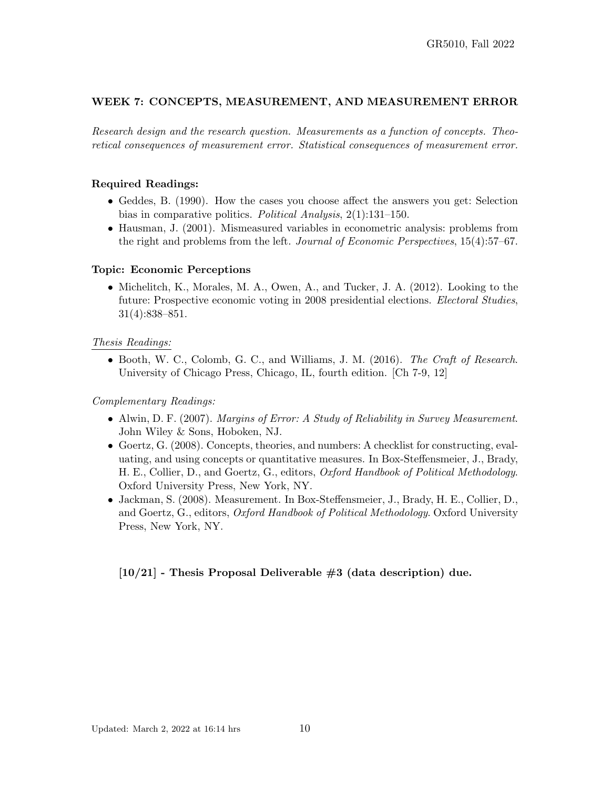## WEEK 7: CONCEPTS, MEASUREMENT, AND MEASUREMENT ERROR

Research design and the research question. Measurements as a function of concepts. Theoretical consequences of measurement error. Statistical consequences of measurement error.

### Required Readings:

- Geddes, B. (1990). How the cases you choose affect the answers you get: Selection bias in comparative politics. Political Analysis, 2(1):131–150.
- Hausman, J. (2001). Mismeasured variables in econometric analysis: problems from the right and problems from the left. Journal of Economic Perspectives, 15(4):57–67.

### Topic: Economic Perceptions

• Michelitch, K., Morales, M. A., Owen, A., and Tucker, J. A. (2012). Looking to the future: Prospective economic voting in 2008 presidential elections. Electoral Studies, 31(4):838–851.

### Thesis Readings:

• Booth, W. C., Colomb, G. C., and Williams, J. M.  $(2016)$ . The Craft of Research. University of Chicago Press, Chicago, IL, fourth edition. [Ch 7-9, 12]

#### Complementary Readings:

- Alwin, D. F. (2007). Margins of Error: A Study of Reliability in Survey Measurement. John Wiley & Sons, Hoboken, NJ.
- Goertz, G. (2008). Concepts, theories, and numbers: A checklist for constructing, evaluating, and using concepts or quantitative measures. In Box-Steffensmeier, J., Brady, H. E., Collier, D., and Goertz, G., editors, Oxford Handbook of Political Methodology. Oxford University Press, New York, NY.
- Jackman, S. (2008). Measurement. In Box-Steffensmeier, J., Brady, H. E., Collier, D., and Goertz, G., editors, Oxford Handbook of Political Methodology. Oxford University Press, New York, NY.

## $[10/21]$  - Thesis Proposal Deliverable  $\#3$  (data description) due.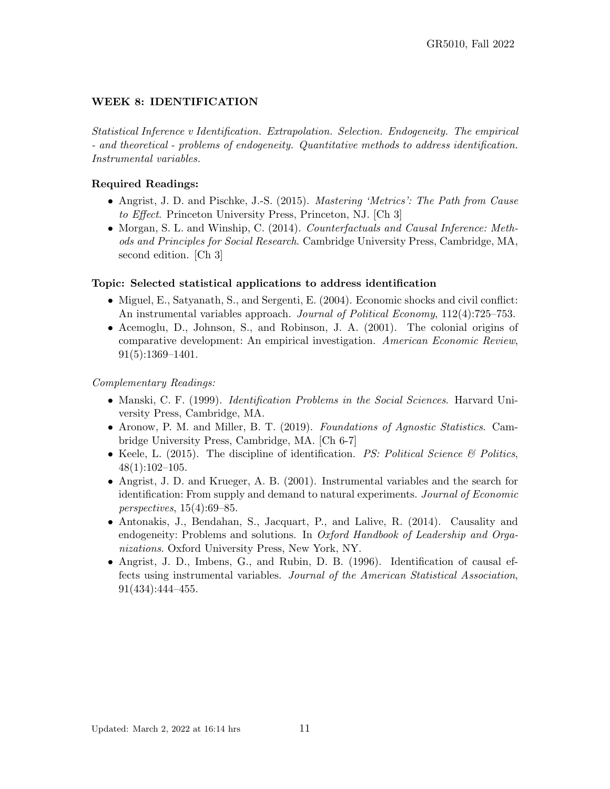# WEEK 8: IDENTIFICATION

Statistical Inference v Identification. Extrapolation. Selection. Endogeneity. The empirical - and theoretical - problems of endogeneity. Quantitative methods to address identification. Instrumental variables.

# Required Readings:

- Angrist, J. D. and Pischke, J.-S. (2015). *Mastering 'Metrics': The Path from Cause* to Effect. Princeton University Press, Princeton, NJ. [Ch 3]
- Morgan, S. L. and Winship, C. (2014). *Counterfactuals and Causal Inference: Meth*ods and Principles for Social Research. Cambridge University Press, Cambridge, MA, second edition. [Ch 3]

## Topic: Selected statistical applications to address identification

- Miguel, E., Satyanath, S., and Sergenti, E. (2004). Economic shocks and civil conflict: An instrumental variables approach. Journal of Political Economy, 112(4):725–753.
- Acemoglu, D., Johnson, S., and Robinson, J. A. (2001). The colonial origins of comparative development: An empirical investigation. American Economic Review, 91(5):1369–1401.

- Manski, C. F. (1999). Identification Problems in the Social Sciences. Harvard University Press, Cambridge, MA.
- Aronow, P. M. and Miller, B. T. (2019). Foundations of Agnostic Statistics. Cambridge University Press, Cambridge, MA. [Ch 6-7]
- Keele, L. (2015). The discipline of identification.  $PS:$  Political Science  $\mathcal{B}$  Politics, 48(1):102–105.
- Angrist, J. D. and Krueger, A. B. (2001). Instrumental variables and the search for identification: From supply and demand to natural experiments. Journal of Economic perspectives, 15(4):69–85.
- Antonakis, J., Bendahan, S., Jacquart, P., and Lalive, R. (2014). Causality and endogeneity: Problems and solutions. In *Oxford Handbook of Leadership and Orga*nizations. Oxford University Press, New York, NY.
- Angrist, J. D., Imbens, G., and Rubin, D. B. (1996). Identification of causal effects using instrumental variables. Journal of the American Statistical Association, 91(434):444–455.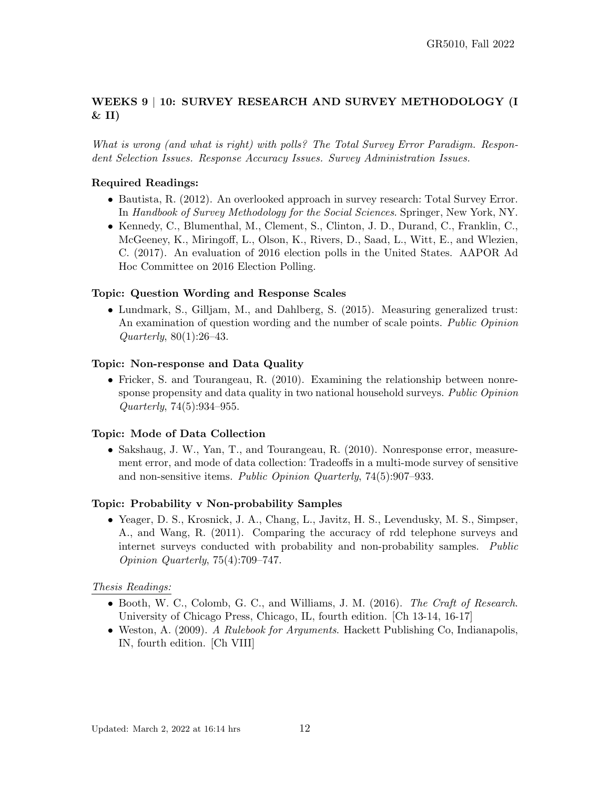# WEEKS 9 | 10: SURVEY RESEARCH AND SURVEY METHODOLOGY (I  $&$  II)

What is wrong (and what is right) with polls? The Total Survey Error Paradigm. Respondent Selection Issues. Response Accuracy Issues. Survey Administration Issues.

# Required Readings:

- Bautista, R. (2012). An overlooked approach in survey research: Total Survey Error. In Handbook of Survey Methodology for the Social Sciences. Springer, New York, NY.
- Kennedy, C., Blumenthal, M., Clement, S., Clinton, J. D., Durand, C., Franklin, C., McGeeney, K., Miringoff, L., Olson, K., Rivers, D., Saad, L., Witt, E., and Wlezien, C. (2017). An evaluation of 2016 election polls in the United States. AAPOR Ad Hoc Committee on 2016 Election Polling.

## Topic: Question Wording and Response Scales

• Lundmark, S., Gilljam, M., and Dahlberg, S. (2015). Measuring generalized trust: An examination of question wording and the number of scale points. Public Opinion Quarterly, 80(1):26–43.

## Topic: Non-response and Data Quality

• Fricker, S. and Tourangeau, R. (2010). Examining the relationship between nonresponse propensity and data quality in two national household surveys. Public Opinion Quarterly, 74(5):934–955.

## Topic: Mode of Data Collection

• Sakshaug, J. W., Yan, T., and Tourangeau, R. (2010). Nonresponse error, measurement error, and mode of data collection: Tradeoffs in a multi-mode survey of sensitive and non-sensitive items. Public Opinion Quarterly, 74(5):907–933.

## Topic: Probability v Non-probability Samples

• Yeager, D. S., Krosnick, J. A., Chang, L., Javitz, H. S., Levendusky, M. S., Simpser, A., and Wang, R. (2011). Comparing the accuracy of rdd telephone surveys and internet surveys conducted with probability and non-probability samples. Public Opinion Quarterly, 75(4):709–747.

## Thesis Readings:

- Booth, W. C., Colomb, G. C., and Williams, J. M. (2016). The Craft of Research. University of Chicago Press, Chicago, IL, fourth edition. [Ch 13-14, 16-17]
- Weston, A. (2009). A Rulebook for Arguments. Hackett Publishing Co, Indianapolis, IN, fourth edition. [Ch VIII]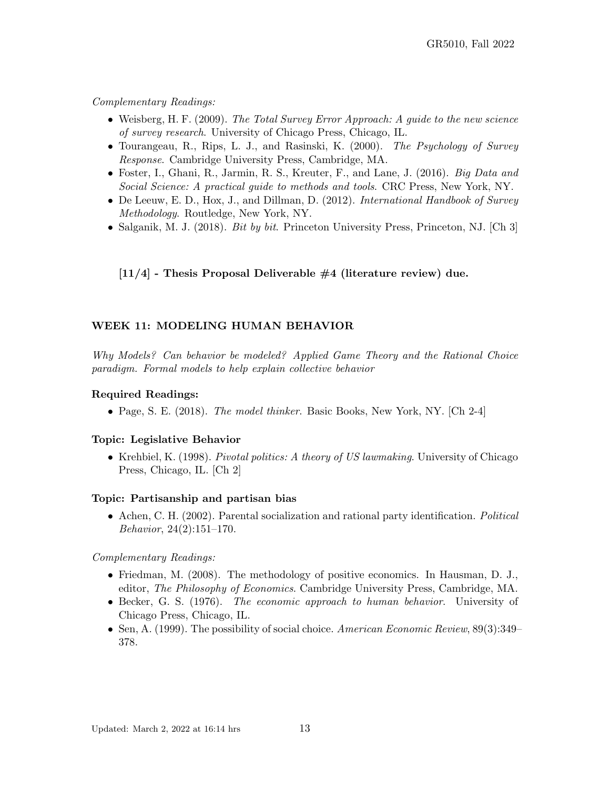Complementary Readings:

- Weisberg, H. F. (2009). The Total Survey Error Approach: A guide to the new science of survey research. University of Chicago Press, Chicago, IL.
- Tourangeau, R., Rips, L. J., and Rasinski, K. (2000). The Psychology of Survey Response. Cambridge University Press, Cambridge, MA.
- Foster, I., Ghani, R., Jarmin, R. S., Kreuter, F., and Lane, J. (2016). *Big Data and* Social Science: A practical guide to methods and tools. CRC Press, New York, NY.
- De Leeuw, E. D., Hox, J., and Dillman, D. (2012). International Handbook of Survey Methodology. Routledge, New York, NY.
- Salganik, M. J. (2018). *Bit by bit.* Princeton University Press, Princeton, NJ.  $[Ch 3]$

 $[11/4]$  - Thesis Proposal Deliverable  $\#4$  (literature review) due.

# WEEK 11: MODELING HUMAN BEHAVIOR

Why Models? Can behavior be modeled? Applied Game Theory and the Rational Choice paradigm. Formal models to help explain collective behavior

### Required Readings:

• Page, S. E. (2018). The model thinker. Basic Books, New York, NY. [Ch 2-4]

#### Topic: Legislative Behavior

• Krehbiel, K. (1998). *Pivotal politics: A theory of US lawmaking*. University of Chicago Press, Chicago, IL. [Ch 2]

## Topic: Partisanship and partisan bias

• Achen, C. H. (2002). Parental socialization and rational party identification. Political Behavior, 24(2):151–170.

- Friedman, M. (2008). The methodology of positive economics. In Hausman, D. J., editor, The Philosophy of Economics. Cambridge University Press, Cambridge, MA.
- Becker, G. S. (1976). The economic approach to human behavior. University of Chicago Press, Chicago, IL.
- Sen, A. (1999). The possibility of social choice. American Economic Review, 89(3):349– 378.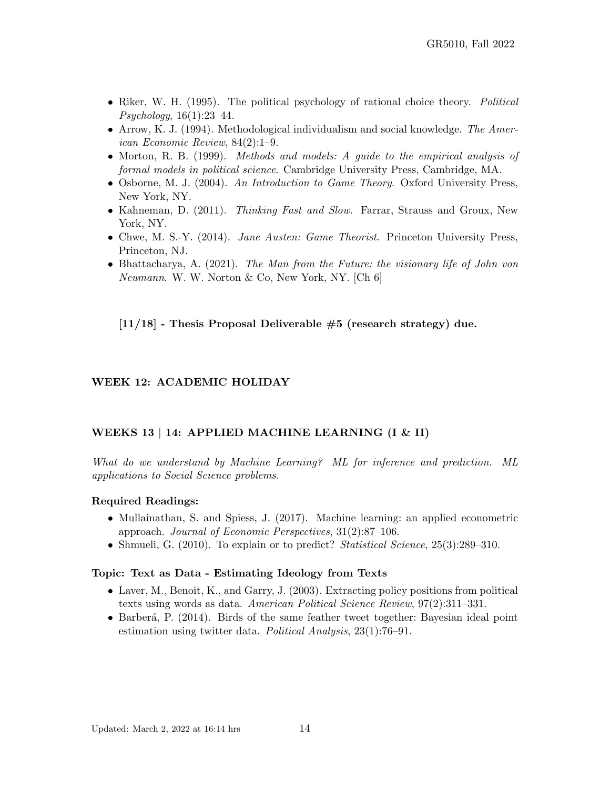- Riker, W. H. (1995). The political psychology of rational choice theory. Political Psychology, 16(1):23–44.
- Arrow, K. J. (1994). Methodological individualism and social knowledge. The American Economic Review, 84(2):1–9.
- Morton, R. B. (1999). *Methods and models: A quide to the empirical analysis of* formal models in political science. Cambridge University Press, Cambridge, MA.
- Osborne, M. J. (2004). An Introduction to Game Theory. Oxford University Press, New York, NY.
- Kahneman, D. (2011). *Thinking Fast and Slow.* Farrar, Strauss and Groux, New York, NY.
- Chwe, M. S.-Y. (2014). Jane Austen: Game Theorist. Princeton University Press, Princeton, NJ.
- Bhattacharya, A. (2021). The Man from the Future: the visionary life of John von Neumann. W. W. Norton & Co, New York, NY. [Ch 6]

 $[11/18]$  - Thesis Proposal Deliverable  $#5$  (research strategy) due.

#### WEEK 12: ACADEMIC HOLIDAY

#### WEEKS 13 | 14: APPLIED MACHINE LEARNING (I & II)

What do we understand by Machine Learning? ML for inference and prediction. ML applications to Social Science problems.

#### Required Readings:

- Mullainathan, S. and Spiess, J. (2017). Machine learning: an applied econometric approach. Journal of Economic Perspectives, 31(2):87–106.
- Shmueli, G. (2010). To explain or to predict? *Statistical Science*, 25(3):289–310.

#### Topic: Text as Data - Estimating Ideology from Texts

- Laver, M., Benoit, K., and Garry, J. (2003). Extracting policy positions from political texts using words as data. American Political Science Review, 97(2):311–331.
- Barberá, P. (2014). Birds of the same feather tweet together: Bayesian ideal point estimation using twitter data. Political Analysis, 23(1):76–91.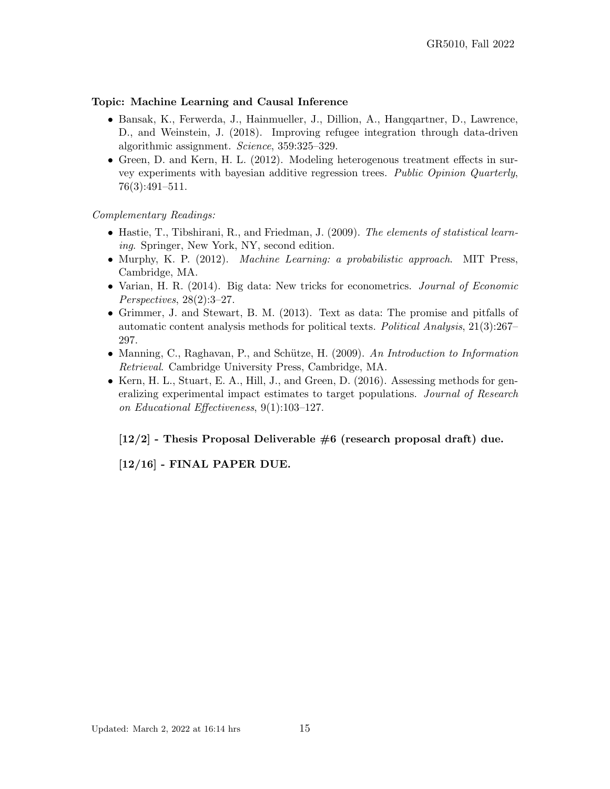### Topic: Machine Learning and Causal Inference

- Bansak, K., Ferwerda, J., Hainmueller, J., Dillion, A., Hangqartner, D., Lawrence, D., and Weinstein, J. (2018). Improving refugee integration through data-driven algorithmic assignment. Science, 359:325–329.
- Green, D. and Kern, H. L. (2012). Modeling heterogenous treatment effects in survey experiments with bayesian additive regression trees. Public Opinion Quarterly, 76(3):491–511.

### Complementary Readings:

- Hastie, T., Tibshirani, R., and Friedman, J. (2009). The elements of statistical learning. Springer, New York, NY, second edition.
- Murphy, K. P. (2012). *Machine Learning: a probabilistic approach*. MIT Press, Cambridge, MA.
- Varian, H. R. (2014). Big data: New tricks for econometrics. *Journal of Economic* Perspectives, 28(2):3–27.
- Grimmer, J. and Stewart, B. M. (2013). Text as data: The promise and pitfalls of automatic content analysis methods for political texts. Political Analysis, 21(3):267– 297.
- Manning, C., Raghavan, P., and Schütze, H. (2009). An Introduction to Information Retrieval. Cambridge University Press, Cambridge, MA.
- Kern, H. L., Stuart, E. A., Hill, J., and Green, D. (2016). Assessing methods for generalizing experimental impact estimates to target populations. Journal of Research on Educational Effectiveness, 9(1):103–127.

 $[12/2]$  - Thesis Proposal Deliverable  $\#6$  (research proposal draft) due.

[12/16] - FINAL PAPER DUE.